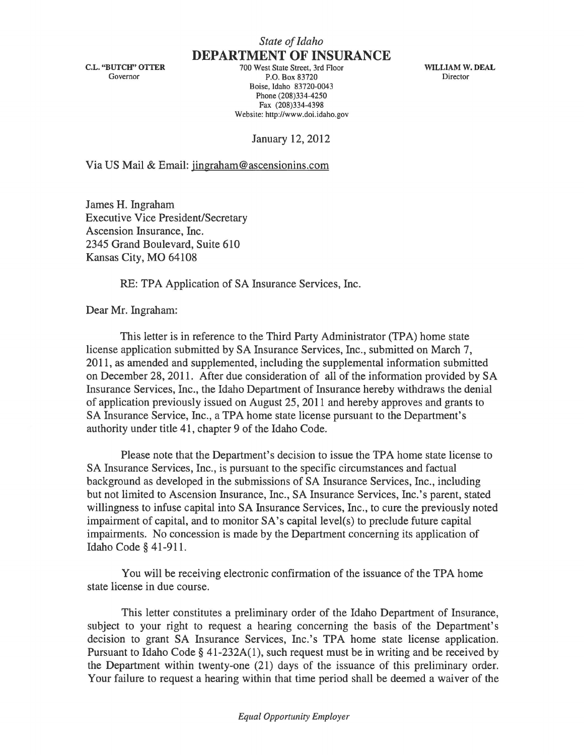C.L. "BUTCH" OTTER Governor

**DEPARTMENT OF INSURANCE**  700 West State Street, 3rd Floor P.O. Box 83720 Boise, Idaho 83720-0043 Phone (208)334-4250 Fax (208)334-4398 Website: http://www.doi.idaho.gov

WILLIAM W. DEAL Director

January 12,2012

Via US Mail & Email: jingraham@ascensionins.com

James H. Ingraham Executive Vice President/Secretary Ascension Insurance, Inc. 2345 Grand Boulevard, Suite 610 Kansas City, MO 64108

RE: TPA Application of SA Insurance Services, Inc.

Dear Mr. Ingraham:

This letter is in reference to the Third Party Administrator (TPA) home state license application submitted by SA Insurance Services, Inc., submitted on March 7, 2011, as amended and supplemented, including the supplemental information submitted on December 28, 2011. After due consideration of all of the information provided by SA Insurance Services, Inc., the Idaho Department of Insurance hereby withdraws the denial of application previously issued on August 25,2011 and hereby approves and grants to SA Insurance Service, Inc., a TPA home state license pursuant to the Department's authority under title 41, chapter 9 of the Idaho Code.

Please note that the Department's decision to issue the **TP** A home state license to SA Insurance Services, Inc., is pursuant to the specific circumstances and factual background as developed in the submissions of SA Insurance Services, Inc., including but not limited to Ascension Insurance, Inc., SA Insurance Services, Inc.'s parent, stated willingness to infuse capital into SA Insurance Services, Inc., to cure the previously noted impairment of capital, and to monitor  $SA$ 's capital level(s) to preclude future capital impairments. No concession is made by the Department concerning its application of Idaho Code § 41-911.

You will be receiving electronic confirmation of the issuance of the TPA home state license in due course.

This letter constitutes a preliminary order of the Idaho Department of Insurance, subject to your right to request a hearing concerning the basis of the Department's decision to grant SA Insurance Services, Inc.'s TPA home state license application. Pursuant to Idaho Code  $\S$  41-232A(1), such request must be in writing and be received by the Department within twenty-one (21) days of the issuance of this preliminary order. Your failure to request a hearing within that time period shall be deemed a waiver of the